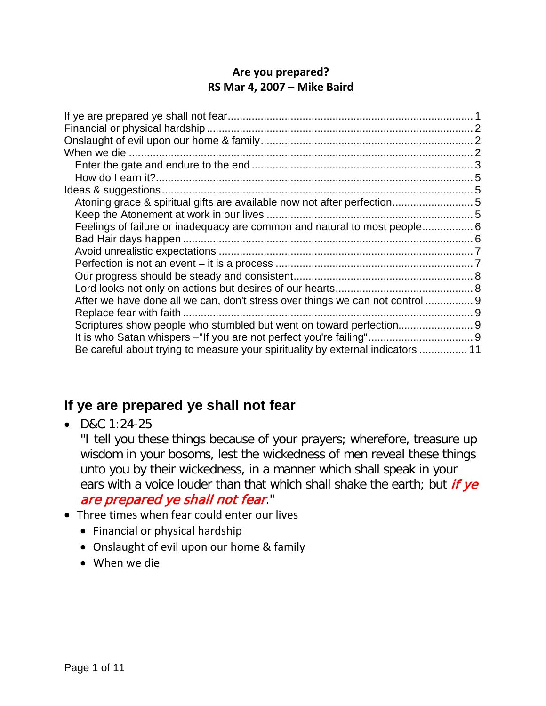#### **Are you prepared? RS Mar 4, 2007 – Mike Baird**

| Atoning grace & spiritual gifts are available now not after perfection 5        |  |
|---------------------------------------------------------------------------------|--|
|                                                                                 |  |
|                                                                                 |  |
|                                                                                 |  |
|                                                                                 |  |
|                                                                                 |  |
|                                                                                 |  |
|                                                                                 |  |
| After we have done all we can, don't stress over things we can not control  9   |  |
|                                                                                 |  |
|                                                                                 |  |
|                                                                                 |  |
| Be careful about trying to measure your spirituality by external indicators  11 |  |

# <span id="page-0-0"></span>**If ye are prepared ye shall not fear**

• D&C 1:24-25

"I tell you these things because of your prayers; wherefore, treasure up wisdom in your bosoms, lest the wickedness of men reveal these things unto you by their wickedness, in a manner which shall speak in your ears with a voice louder than that which shall shake the earth; but *if ye* are prepared ye shall not fear."

- Three times when fear could enter our lives
	- Financial or physical hardship
	- Onslaught of evil upon our home & family
	- When we die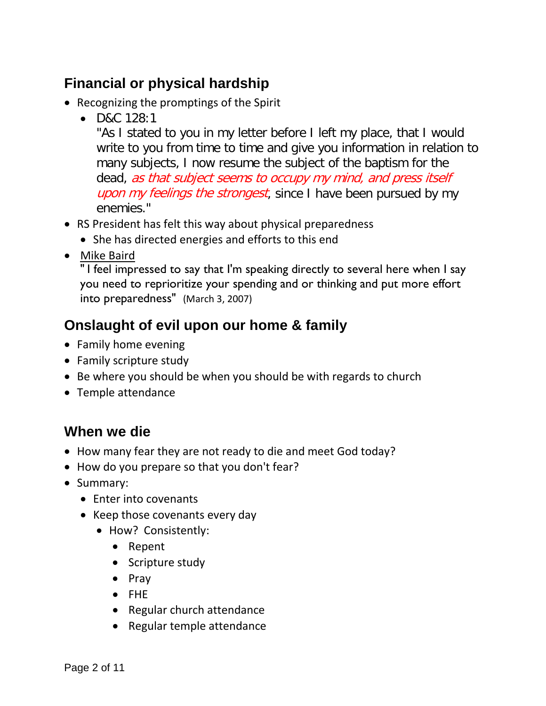# <span id="page-1-0"></span>**Financial or physical hardship**

- Recognizing the promptings of the Spirit
	- D&C 128:1

"As I stated to you in my letter before I left my place, that I would write to you from time to time and give you information in relation to many subjects, I now resume the subject of the baptism for the dead, as that subject seems to occupy my mind, and press itself upon my feelings the strongest, since I have been pursued by my enemies."

- RS President has felt this way about physical preparedness
	- She has directed energies and efforts to this end
- Mike Baird

" I feel impressed to say that I'm speaking directly to several here when I say you need to reprioritize your spending and or thinking and put more effort into preparedness" (March 3, 2007)

# <span id="page-1-1"></span>**Onslaught of evil upon our home & family**

- Family home evening
- Family scripture study
- Be where you should be when you should be with regards to church
- Temple attendance

# <span id="page-1-2"></span>**When we die**

- How many fear they are not ready to die and meet God today?
- How do you prepare so that you don't fear?
- Summary:
	- Enter into covenants
	- Keep those covenants every day
		- How? Consistently:
			- Repent
			- Scripture study
			- Pray
			- FHE
			- Regular church attendance
			- Regular temple attendance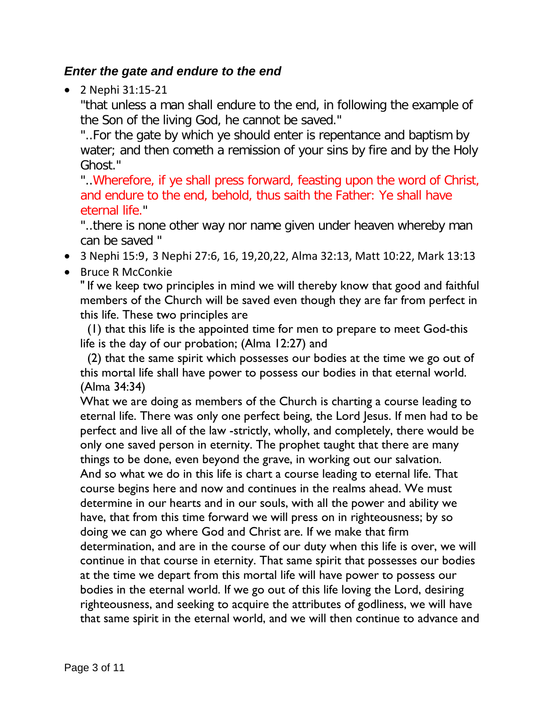#### <span id="page-2-0"></span>*Enter the gate and endure to the end*

• 2 Nephi 31:15-21

"that unless a man shall endure to the end, in following the example of the Son of the living God, he cannot be saved."

"..For the gate by which ye should enter is repentance and baptism by water; and then cometh a remission of your sins by fire and by the Holy Ghost."

"..Wherefore, if ye shall press forward, feasting upon the word of Christ, and endure to the end, behold, thus saith the Father: Ye shall have eternal life."

"..there is none other way nor name given under heaven whereby man can be saved "

- 3 Nephi 15:9, 3 Nephi 27:6, 16, 19,20,22, Alma 32:13, Matt 10:22, Mark 13:13
- Bruce R McConkie

" If we keep two principles in mind we will thereby know that good and faithful members of the Church will be saved even though they are far from perfect in this life. These two principles are

 (1) that this life is the appointed time for men to prepare to meet God-this life is the day of our probation; (Alma 12:27) and

 (2) that the same spirit which possesses our bodies at the time we go out of this mortal life shall have power to possess our bodies in that eternal world. (Alma 34:34)

What we are doing as members of the Church is charting a course leading to eternal life. There was only one perfect being, the Lord Jesus. If men had to be perfect and live all of the law -strictly, wholly, and completely, there would be only one saved person in eternity. The prophet taught that there are many things to be done, even beyond the grave, in working out our salvation. And so what we do in this life is chart a course leading to eternal life. That course begins here and now and continues in the realms ahead. We must determine in our hearts and in our souls, with all the power and ability we have, that from this time forward we will press on in righteousness; by so doing we can go where God and Christ are. If we make that firm determination, and are in the course of our duty when this life is over, we will continue in that course in eternity. That same spirit that possesses our bodies at the time we depart from this mortal life will have power to possess our bodies in the eternal world. If we go out of this life loving the Lord, desiring righteousness, and seeking to acquire the attributes of godliness, we will have that same spirit in the eternal world, and we will then continue to advance and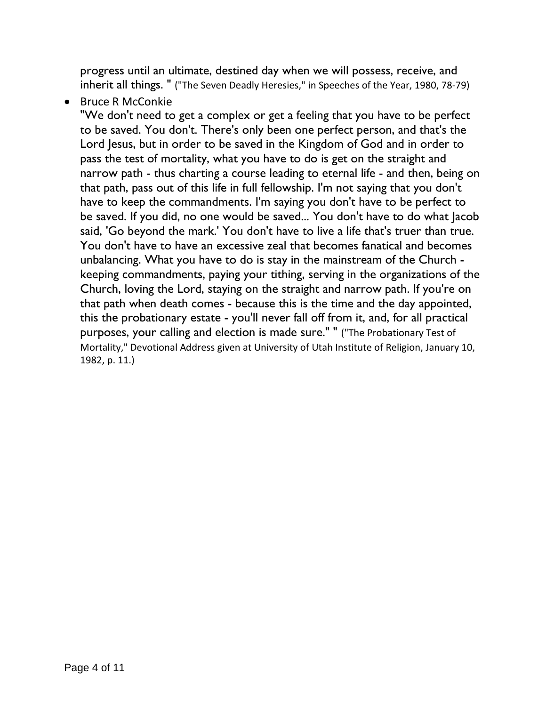progress until an ultimate, destined day when we will possess, receive, and inherit all things. " ("The Seven Deadly Heresies," in Speeches of the Year, 1980, 78-79)

• Bruce R McConkie

"We don't need to get a complex or get a feeling that you have to be perfect to be saved. You don't. There's only been one perfect person, and that's the Lord Jesus, but in order to be saved in the Kingdom of God and in order to pass the test of mortality, what you have to do is get on the straight and narrow path - thus charting a course leading to eternal life - and then, being on that path, pass out of this life in full fellowship. I'm not saying that you don't have to keep the commandments. I'm saying you don't have to be perfect to be saved. If you did, no one would be saved... You don't have to do what Jacob said, 'Go beyond the mark.' You don't have to live a life that's truer than true. You don't have to have an excessive zeal that becomes fanatical and becomes unbalancing. What you have to do is stay in the mainstream of the Church keeping commandments, paying your tithing, serving in the organizations of the Church, loving the Lord, staying on the straight and narrow path. If you're on that path when death comes - because this is the time and the day appointed, this the probationary estate - you'll never fall off from it, and, for all practical purposes, your calling and election is made sure." " ("The Probationary Test of Mortality," Devotional Address given at University of Utah Institute of Religion, January 10, 1982, p. 11.)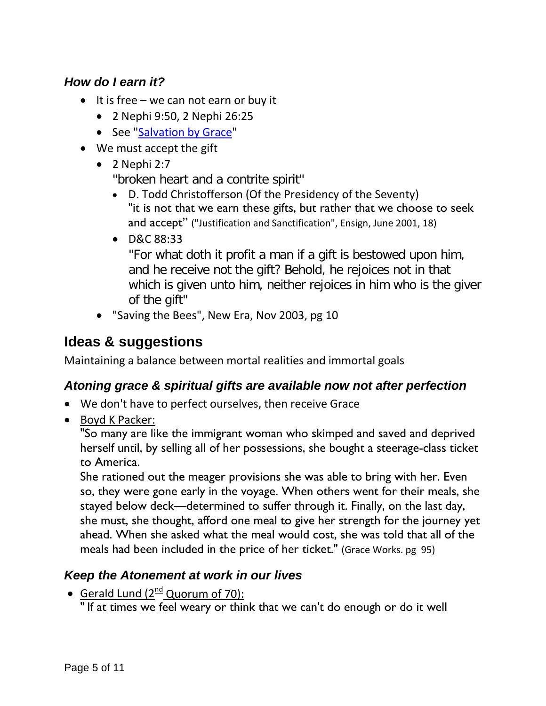### <span id="page-4-0"></span>*How do I earn it?*

- It is free we can not earn or buy it
	- 2 Nephi 9:50, 2 Nephi 26:25
	- See "Salvation by Grace"
- We must accept the gift
	- $\bullet$  2 Nephi 2:7

"broken heart and a contrite spirit"

- D. Todd Christofferson (Of the Presidency of the Seventy) "it is not that we earn these gifts, but rather that we choose to seek and accept" ("Justification and Sanctification", Ensign, June 2001, 18)
- D&C 88:33

"For what doth it profit a man if a gift is bestowed upon him, and he receive not the gift? Behold, he rejoices not in that which is given unto him, neither rejoices in him who is the giver of the gift"

• "Saving the Bees", New Era, Nov 2003, pg 10

# <span id="page-4-1"></span>**Ideas & suggestions**

Maintaining a balance between mortal realities and immortal goals

### <span id="page-4-2"></span>*Atoning grace & spiritual gifts are available now not after perfection*

- We don't have to perfect ourselves, then receive Grace
- Boyd K Packer:

"So many are like the immigrant woman who skimped and saved and deprived herself until, by selling all of her possessions, she bought a steerage-class ticket to America.

She rationed out the meager provisions she was able to bring with her. Even so, they were gone early in the voyage. When others went for their meals, she stayed below deck—determined to suffer through it. Finally, on the last day, she must, she thought, afford one meal to give her strength for the journey yet ahead. When she asked what the meal would cost, she was told that all of the meals had been included in the price of her ticket." (Grace Works. pg 95)

### <span id="page-4-3"></span>*Keep the Atonement at work in our lives*

• Gerald Lund  $(2^{\text{nd}}$  Quorum of 70):

"If at times we feel weary or think that we can't do enough or do it well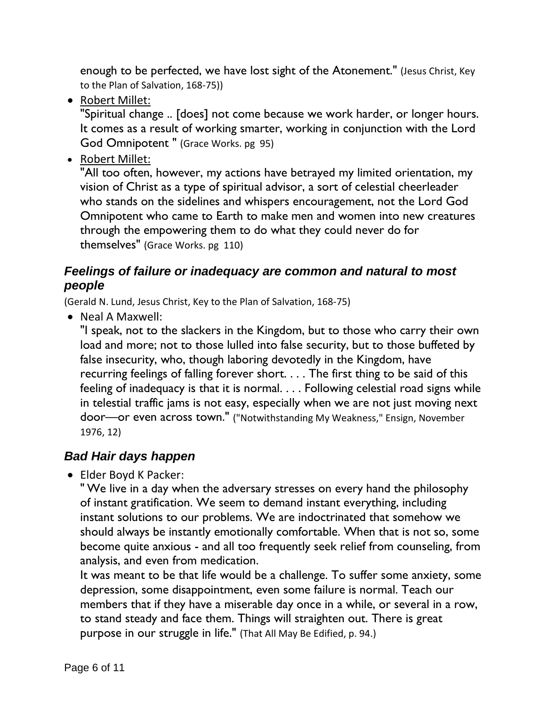enough to be perfected, we have lost sight of the Atonement." (Jesus Christ, Key to the Plan of Salvation, 168-75))

• Robert Millet:

"Spiritual change .. [does] not come because we work harder, or longer hours. It comes as a result of working smarter, working in conjunction with the Lord God Omnipotent " (Grace Works. pg 95)

• Robert Millet:

"All too often, however, my actions have betrayed my limited orientation, my vision of Christ as a type of spiritual advisor, a sort of celestial cheerleader who stands on the sidelines and whispers encouragement, not the Lord God Omnipotent who came to Earth to make men and women into new creatures through the empowering them to do what they could never do for themselves" (Grace Works. pg 110)

### <span id="page-5-0"></span>*Feelings of failure or inadequacy are common and natural to most people*

(Gerald N. Lund, Jesus Christ, Key to the Plan of Salvation, 168-75)

• Neal A Maxwell:

"I speak, not to the slackers in the Kingdom, but to those who carry their own load and more; not to those lulled into false security, but to those buffeted by false insecurity, who, though laboring devotedly in the Kingdom, have recurring feelings of falling forever short. . . . The first thing to be said of this feeling of inadequacy is that it is normal. . . . Following celestial road signs while in telestial traffic jams is not easy, especially when we are not just moving next door—or even across town." ("Notwithstanding My Weakness," Ensign, November 1976, 12)

## <span id="page-5-1"></span>*Bad Hair days happen*

• Elder Boyd K Packer:

" We live in a day when the adversary stresses on every hand the philosophy of instant gratification. We seem to demand instant everything, including instant solutions to our problems. We are indoctrinated that somehow we should always be instantly emotionally comfortable. When that is not so, some become quite anxious - and all too frequently seek relief from counseling, from analysis, and even from medication.

It was meant to be that life would be a challenge. To suffer some anxiety, some depression, some disappointment, even some failure is normal. Teach our members that if they have a miserable day once in a while, or several in a row, to stand steady and face them. Things will straighten out. There is great purpose in our struggle in life." (That All May Be Edified, p. 94.)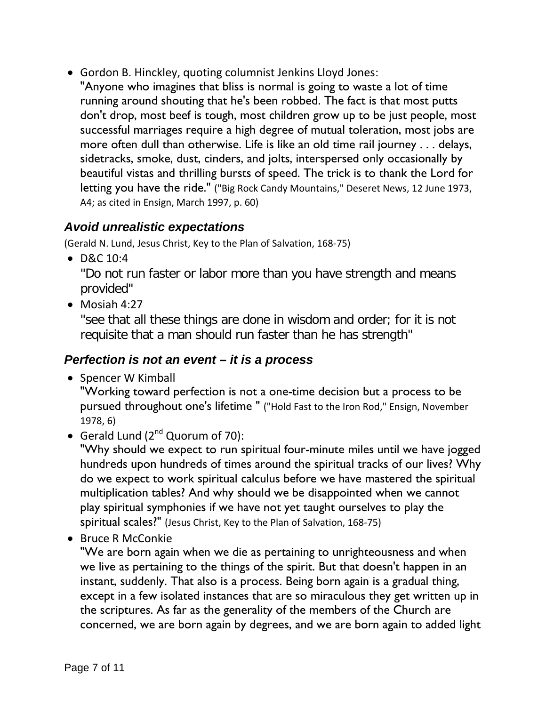- Gordon B. Hinckley, quoting columnist Jenkins Lloyd Jones:
- "Anyone who imagines that bliss is normal is going to waste a lot of time running around shouting that he's been robbed. The fact is that most putts don't drop, most beef is tough, most children grow up to be just people, most successful marriages require a high degree of mutual toleration, most jobs are more often dull than otherwise. Life is like an old time rail journey . . . delays, sidetracks, smoke, dust, cinders, and jolts, interspersed only occasionally by beautiful vistas and thrilling bursts of speed. The trick is to thank the Lord for letting you have the ride." ("Big Rock Candy Mountains," Deseret News, 12 June 1973, A4; as cited in Ensign, March 1997, p. 60)

#### <span id="page-6-0"></span>*Avoid unrealistic expectations*

(Gerald N. Lund, Jesus Christ, Key to the Plan of Salvation, 168-75)

• D&C 10:4

"Do not run faster or labor more than you have strength and means provided"

• Mosiah 4:27

"see that all these things are done in wisdom and order; for it is not requisite that a man should run faster than he has strength"

#### <span id="page-6-1"></span>*Perfection is not an event – it is a process*

• Spencer W Kimball

"Working toward perfection is not a one-time decision but a process to be pursued throughout one's lifetime " ("Hold Fast to the Iron Rod," Ensign, November 1978, 6)

• Gerald Lund  $(2^{nd}$  Quorum of 70):

"Why should we expect to run spiritual four-minute miles until we have jogged hundreds upon hundreds of times around the spiritual tracks of our lives? Why do we expect to work spiritual calculus before we have mastered the spiritual multiplication tables? And why should we be disappointed when we cannot play spiritual symphonies if we have not yet taught ourselves to play the spiritual scales?" (Jesus Christ, Key to the Plan of Salvation, 168-75)

• Bruce R McConkie

"We are born again when we die as pertaining to unrighteousness and when we live as pertaining to the things of the spirit. But that doesn't happen in an instant, suddenly. That also is a process. Being born again is a gradual thing, except in a few isolated instances that are so miraculous they get written up in the scriptures. As far as the generality of the members of the Church are concerned, we are born again by degrees, and we are born again to added light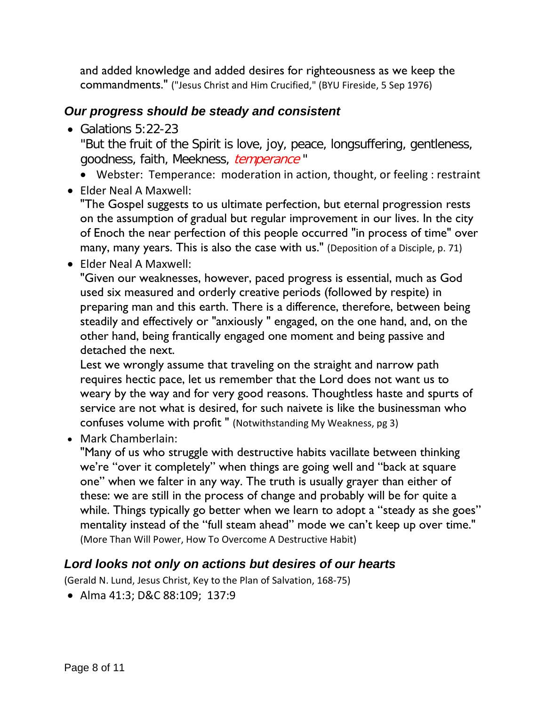and added knowledge and added desires for righteousness as we keep the commandments." ("Jesus Christ and Him Crucified," (BYU Fireside, 5 Sep 1976)

## <span id="page-7-0"></span>*Our progress should be steady and consistent*

• Galations 5:22-23

"But the fruit of the Spirit is love, joy, peace, longsuffering, gentleness, goodness, faith, Meekness, temperance"

- Webster: Temperance: moderation in action, thought, or feeling : restraint
- Elder Neal A Maxwell:

"The Gospel suggests to us ultimate perfection, but eternal progression rests on the assumption of gradual but regular improvement in our lives. In the city of Enoch the near perfection of this people occurred "in process of time" over many, many years. This is also the case with us." (Deposition of a Disciple, p. 71)

• Elder Neal A Maxwell:

"Given our weaknesses, however, paced progress is essential, much as God used six measured and orderly creative periods (followed by respite) in preparing man and this earth. There is a difference, therefore, between being steadily and effectively or "anxiously " engaged, on the one hand, and, on the other hand, being frantically engaged one moment and being passive and detached the next.

Lest we wrongly assume that traveling on the straight and narrow path requires hectic pace, let us remember that the Lord does not want us to weary by the way and for very good reasons. Thoughtless haste and spurts of service are not what is desired, for such naivete is like the businessman who confuses volume with profit " (Notwithstanding My Weakness, pg 3)

• Mark Chamberlain:

"Many of us who struggle with destructive habits vacillate between thinking we're "over it completely" when things are going well and "back at square one" when we falter in any way. The truth is usually grayer than either of these: we are still in the process of change and probably will be for quite a while. Things typically go better when we learn to adopt a "steady as she goes" mentality instead of the "full steam ahead" mode we can't keep up over time." (More Than Will Power, How To Overcome A Destructive Habit)

### <span id="page-7-1"></span>*Lord looks not only on actions but desires of our hearts*

(Gerald N. Lund, Jesus Christ, Key to the Plan of Salvation, 168-75)

• Alma 41:3; D&C 88:109; 137:9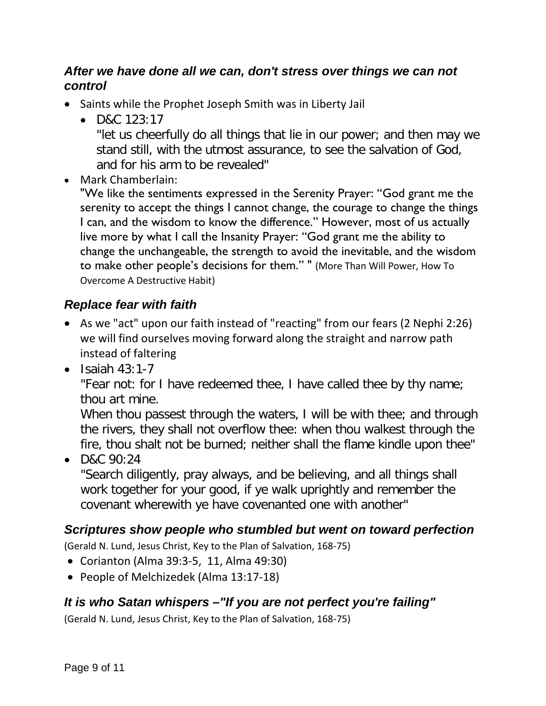### <span id="page-8-0"></span>*After we have done all we can, don't stress over things we can not control*

- Saints while the Prophet Joseph Smith was in Liberty Jail
	- D&C  $123:17$

"let us cheerfully do all things that lie in our power; and then may we stand still, with the utmost assurance, to see the salvation of God, and for his arm to be revealed"

• Mark Chamberlain:

"We like the sentiments expressed in the Serenity Prayer: "God grant me the serenity to accept the things I cannot change, the courage to change the things I can, and the wisdom to know the difference." However, most of us actually live more by what I call the Insanity Prayer: "God grant me the ability to change the unchangeable, the strength to avoid the inevitable, and the wisdom to make other people's decisions for them." " (More Than Will Power, How To Overcome A Destructive Habit)

### <span id="page-8-1"></span>*Replace fear with faith*

- As we "act" upon our faith instead of "reacting" from our fears (2 Nephi 2:26) we will find ourselves moving forward along the straight and narrow path instead of faltering
- Isaiah 43:1-7

"Fear not: for I have redeemed thee, I have called thee by thy name; thou art mine.

When thou passest through the waters, I will be with thee; and through the rivers, they shall not overflow thee: when thou walkest through the fire, thou shalt not be burned; neither shall the flame kindle upon thee"

• D&C 90:24 "Search diligently, pray always, and be believing, and all things shall work together for your good, if ye walk uprightly and remember the covenant wherewith ye have covenanted one with another"

### <span id="page-8-2"></span>*Scriptures show people who stumbled but went on toward perfection*

(Gerald N. Lund, Jesus Christ, Key to the Plan of Salvation, 168-75)

- Corianton (Alma 39:3-5, 11, Alma 49:30)
- People of Melchizedek (Alma 13:17-18)

### <span id="page-8-3"></span>*It is who Satan whispers –"If you are not perfect you're failing"*

(Gerald N. Lund, Jesus Christ, Key to the Plan of Salvation, 168-75)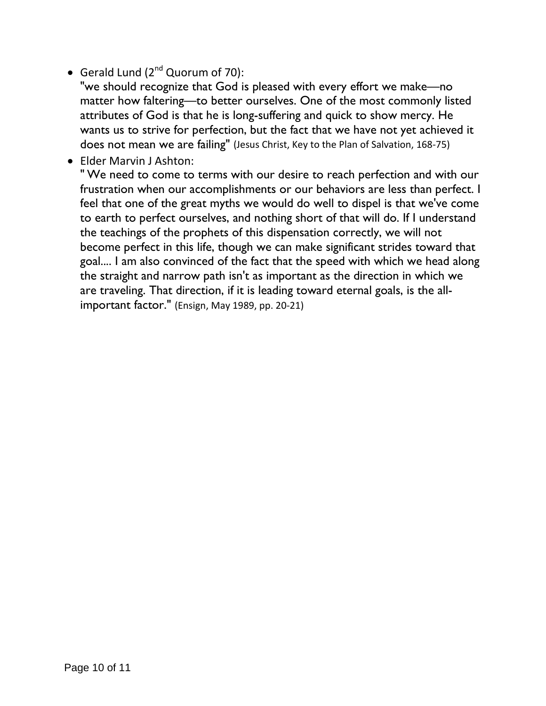• Gerald Lund  $(2^{nd}$  Quorum of 70):

"we should recognize that God is pleased with every effort we make—no matter how faltering—to better ourselves. One of the most commonly listed attributes of God is that he is long-suffering and quick to show mercy. He wants us to strive for perfection, but the fact that we have not yet achieved it does not mean we are failing" (Jesus Christ, Key to the Plan of Salvation, 168-75)

• Elder Marvin J Ashton:

" We need to come to terms with our desire to reach perfection and with our frustration when our accomplishments or our behaviors are less than perfect. I feel that one of the great myths we would do well to dispel is that we've come to earth to perfect ourselves, and nothing short of that will do. If I understand the teachings of the prophets of this dispensation correctly, we will not become perfect in this life, though we can make significant strides toward that goal.... I am also convinced of the fact that the speed with which we head along the straight and narrow path isn't as important as the direction in which we are traveling. That direction, if it is leading toward eternal goals, is the allimportant factor." (Ensign, May 1989, pp. 20-21)